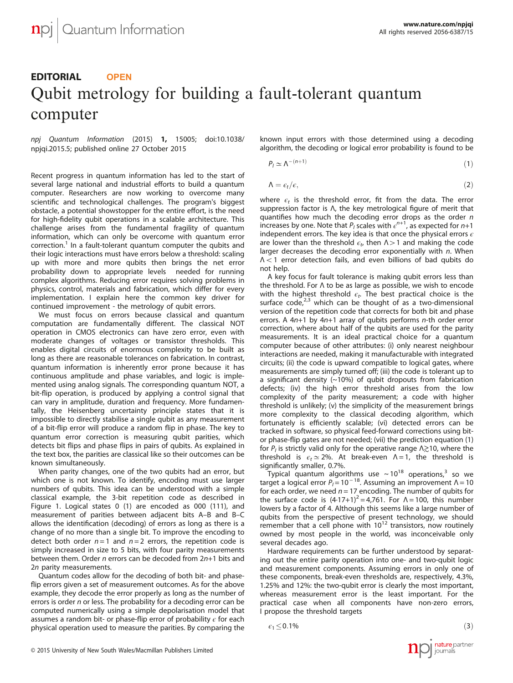## EDITORIAL **OPEN** Qubit metrology for building a fault-tolerant quantum computer

npj Quantum Information (2015) 1, 15005; doi:[10.1038/](http://dx.doi.org/10.1038/npjqi.2015.5) [npjqi.2015.5;](http://dx.doi.org/10.1038/npjqi.2015.5) published online 27 October 2015

Recent progress in quantum information has led to the start of several large national and industrial efforts to build a quantum computer. Researchers are now working to overcome many scientific and technological challenges. The program's biggest obstacle, a potential showstopper for the entire effort, is the need for high-fidelity qubit operations in a scalable architecture. This challenge arises from the fundamental fragility of quantum information, which can only be overcome with quantum error correction.<sup>[1](#page-2-0)</sup> In a fault-tolerant quantum computer the qubits and their logic interactions must have errors below a threshold: scaling up with more and more qubits then brings the net error probability down to appropriate levels needed for running complex algorithms. Reducing error requires solving problems in physics, control, materials and fabrication, which differ for every implementation. I explain here the common key driver for continued improvement - the metrology of qubit errors.

We must focus on errors because classical and quantum computation are fundamentally different. The classical NOT operation in CMOS electronics can have zero error, even with moderate changes of voltages or transistor thresholds. This enables digital circuits of enormous complexity to be built as long as there are reasonable tolerances on fabrication. In contrast, quantum information is inherently error prone because it has continuous amplitude and phase variables, and logic is implemented using analog signals. The corresponding quantum NOT, a bit-flip operation, is produced by applying a control signal that can vary in amplitude, duration and frequency. More fundamentally, the Heisenberg uncertainty principle states that it is impossible to directly stabilise a single qubit as any measurement of a bit-flip error will produce a random flip in phase. The key to quantum error correction is measuring qubit parities, which detects bit flips and phase flips in pairs of qubits. As explained in the text box, the parities are classical like so their outcomes can be known simultaneously.

When parity changes, one of the two qubits had an error, but which one is not known. To identify, encoding must use larger numbers of qubits. This idea can be understood with a simple classical example, the 3-bit repetition code as described in [Figure 1.](#page-1-0) Logical states 0 (1) are encoded as 000 (111), and measurement of parities between adjacent bits A–B and B–C allows the identification (decoding) of errors as long as there is a change of no more than a single bit. To improve the encoding to detect both order  $n = 1$  and  $n = 2$  errors, the repetition code is simply increased in size to 5 bits, with four parity measurements between them. Order n errors can be decoded from 2n+1 bits and 2n parity measurements.

Quantum codes allow for the decoding of both bit- and phaseflip errors given a set of measurement outcomes. As for the above example, they decode the error properly as long as the number of errors is order n or less. The probability for a decoding error can be computed numerically using a simple depolarisation model that assumes a random bit- or phase-flip error of probability  $\epsilon$  for each physical operation used to measure the parities. By comparing the known input errors with those determined using a decoding algorithm, the decoding or logical error probability is found to be

$$
P_I \simeq \Lambda^{-(n+1)} \tag{1}
$$

$$
\Lambda = \epsilon_t / \epsilon, \tag{2}
$$

where  $\epsilon_t$  is the threshold error, fit from the data. The error suppression factor is Λ, the key metrological figure of merit that quantifies how much the decoding error drops as the order  $n$ increases by one. Note that  $P_l$  scales with  $\epsilon^{n+1}$ , as expected for  $n+1$ independent errors. The key idea is that once the physical errors  $\epsilon$ are lower than the threshold  $\epsilon_t$ , then  $\Lambda > 1$  and making the code larger decreases the decoding error exponentially with  $n$ . When  $\Lambda$  < 1 error detection fails, and even billions of bad qubits do not help.

A key focus for fault tolerance is making qubit errors less than the threshold. For Λ to be as large as possible, we wish to encode with the highest threshold  $\epsilon_t$ . The best practical choice is the surface code, $2,3$  which can be thought of as a two-dimensional version of the repetition code that corrects for both bit and phase errors. A 4n+1 by 4n+1 array of qubits performs n-th order error correction, where about half of the qubits are used for the parity measurements. It is an ideal practical choice for a quantum computer because of other attributes: (i) only nearest neighbour interactions are needed, making it manufacturable with integrated circuits; (ii) the code is upward compatible to logical gates, where measurements are simply turned off; (iii) the code is tolerant up to a significant density (~10%) of qubit dropouts from fabrication defects; (iv) the high error threshold arises from the low complexity of the parity measurement; a code with higher threshold is unlikely; (v) the simplicity of the measurement brings more complexity to the classical decoding algorithm, which fortunately is efficiently scalable; (vi) detected errors can be tracked in software, so physical feed-forward corrections using bitor phase-flip gates are not needed; (vii) the prediction equation (1) for  $P_l$  is strictly valid only for the operative range  $\Lambda \geq 10$ , where the threshold is  $\epsilon_t \simeq 2\%$ . At break-even Λ = 1, the threshold is significantly smaller, 0.7%.

Typical quantum algorithms use  $\sim 10^{18}$  operations,<sup>[3](#page-2-0)</sup> so we target a logical error  $P_1 = 10^{-18}$ . Assuming an improvement  $\Lambda = 10$ for each order, we need  $n = 17$  encoding. The number of qubits for the surface code is  $(4.17+1)^2 = 4.761$ . For  $\Lambda = 100$ , this number lowers by a factor of 4. Although this seems like a large number of qubits from the perspective of present technology, we should remember that a cell phone with  $10^{12}$  transistors, now routinely owned by most people in the world, was inconceivable only several decades ago.

Hardware requirements can be further understood by separating out the entire parity operation into one- and two-qubit logic and measurement components. Assuming errors in only one of these components, break-even thresholds are, respectively, 4.3%, 1.25% and 12%: the two-qubit error is clearly the most important, whereas measurement error is the least important. For the practical case when all components have non-zero errors, I propose the threshold targets

 $\epsilon_1 \leq 0.1\%$ 0.1% (3)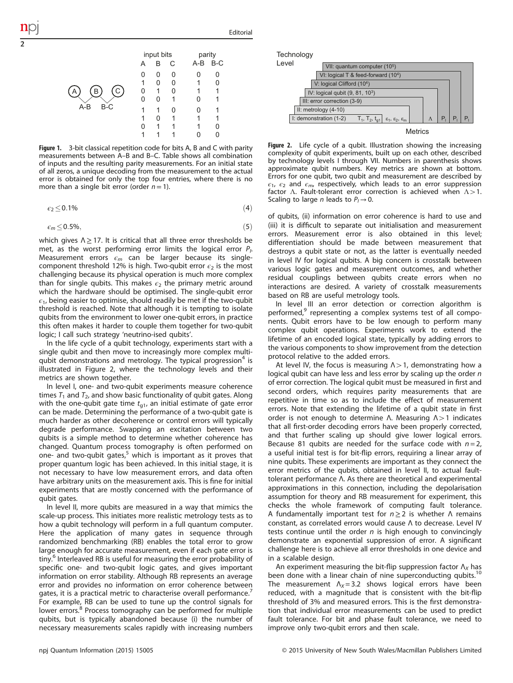

<span id="page-1-0"></span>2

Figure 1. 3-bit classical repetition code for bits A, B and C with parity measurements between A–B and B–C. Table shows all combination of inputs and the resulting parity measurements. For an initial state of all zeros, a unique decoding from the measurement to the actual error is obtained for only the top four entries, where there is no more than a single bit error (order  $n = 1$ ).

$$
\epsilon_2 \le 0.1\% \tag{4}
$$

$$
\epsilon_m \le 0.5\%,\tag{5}
$$

which gives  $\Lambda \geq 17$ . It is critical that all three error thresholds be met, as the worst performing error limits the logical error  $P_l$ . . Measurement errors  $\epsilon_m$  can be larger because its singlecomponent threshold 12% is high. Two-qubit error  $\epsilon_2$  is the most challenging because its physical operation is much more complex than for single qubits. This makes  $\epsilon_2$  the primary metric around which the hardware should be optimised. The single-qubit error  $\epsilon_1$ , being easier to optimise, should readily be met if the two-qubit threshold is reached. Note that although it is tempting to isolate qubits from the environment to lower one-qubit errors, in practice this often makes it harder to couple them together for two-qubit logic; I call such strategy 'neutrino-ised qubits'.

In the life cycle of a qubit technology, experiments start with a single qubit and then move to increasingly more complex multi-qubit demonstrations and metrology. The typical progression<sup>[4](#page-2-0)</sup> is illustrated in Figure 2, where the technology levels and their metrics are shown together.

In level I, one- and two-qubit experiments measure coherence times  $T_1$  and  $T_2$ , and show basic functionality of qubit gates. Along with the one-qubit gate time  $t_{q1}$ , an initial estimate of gate error can be made. Determining the performance of a two-qubit gate is much harder as other decoherence or control errors will typically degrade performance. Swapping an excitation between two qubits is a simple method to determine whether coherence has changed. Quantum process tomography is often performed on one- and two-qubit gates,<sup>[5](#page-2-0)</sup> which is important as it proves that proper quantum logic has been achieved. In this initial stage, it is not necessary to have low measurement errors, and data often have arbitrary units on the measurement axis. This is fine for initial experiments that are mostly concerned with the performance of qubit gates.

In level II, more qubits are measured in a way that mimics the scale-up process. This initiates more realistic metrology tests as to how a qubit technology will perform in a full quantum computer. Here the application of many gates in sequence through randomized benchmarking (RB) enables the total error to grow large enough for accurate measurement, even if each gate error is tiny.<sup>[6](#page-2-0)</sup> Interleaved RB is useful for measuring the error probability of specific one- and two-qubit logic gates, and gives important information on error stability. Although RB represents an average error and provides no information on error coherence between gates, it is a practical metric to characterise overall performance. For example, RB can be used to tune up the control signals for lower errors.<sup>8</sup> Process tomography can be performed for multiple qubits, but is typically abandoned because (i) the number of necessary measurements scales rapidly with increasing numbers



Metrics

Figure 2. Life cycle of a qubit. Illustration showing the increasing complexity of qubit experiments, built up on each other, described by technology levels I through VII. Numbers in parenthesis shows approximate qubit numbers. Key metrics are shown at bottom. Errors for one qubit, two qubit and measurement are described by  $\epsilon_1$ ,  $\epsilon_2$  and  $\epsilon_m$ , respectively, which leads to an error suppression factor  $\Lambda$ . Fault-tolerant error correction is achieved when  $\Lambda > 1$ . Scaling to large *n* leads to  $P_1 \rightarrow 0$ .

of qubits, (ii) information on error coherence is hard to use and (iii) it is difficult to separate out initialisation and measurement errors. Measurement error is also obtained in this level; differentiation should be made between measurement that destroys a qubit state or not, as the latter is eventually needed in level IV for logical qubits. A big concern is crosstalk between various logic gates and measurement outcomes, and whether residual couplings between qubits create errors when no interactions are desired. A variety of crosstalk measurements based on RB are useful metrology tools.

In level III an error detection or correction algorithm is performed,<sup>[9](#page-2-0)</sup> representing a complex systems test of all components. Qubit errors have to be low enough to perform many complex qubit operations. Experiments work to extend the lifetime of an encoded logical state, typically by adding errors to the various components to show improvement from the detection protocol relative to the added errors.

At level IV, the focus is measuring  $\Lambda > 1$ , demonstrating how a logical qubit can have less and less error by scaling up the order n of error correction. The logical qubit must be measured in first and second orders, which requires parity measurements that are repetitive in time so as to include the effect of measurement errors. Note that extending the lifetime of a qubit state in first order is not enough to determine Λ. Measuring  $Λ>1$  indicates that all first-order decoding errors have been properly corrected, and that further scaling up should give lower logical errors. Because 81 qubits are needed for the surface code with  $n = 2$ , a useful initial test is for bit-flip errors, requiring a linear array of nine qubits. These experiments are important as they connect the error metrics of the qubits, obtained in level II, to actual faulttolerant performance Λ. As there are theoretical and experimental approximations in this connection, including the depolarisation assumption for theory and RB measurement for experiment, this checks the whole framework of computing fault tolerance. A fundamentally important test for  $n \geq 2$  is whether  $\Lambda$  remains constant, as correlated errors would cause Λ to decrease. Level IV tests continue until the order  $n$  is high enough to convincingly demonstrate an exponential suppression of error. A significant challenge here is to achieve all error thresholds in one device and in a scalable design.

An experiment measuring the bit-flip suppression factor  $\Lambda_X$  has been done with a linear chain of nine superconducting qubits.<sup>[10](#page-2-0)</sup> The measurement  $\Lambda_X = 3.2$  shows logical errors have been reduced, with a magnitude that is consistent with the bit-flip threshold of 3% and measured errors. This is the first demonstration that individual error measurements can be used to predict fault tolerance. For bit and phase fault tolerance, we need to improve only two-qubit errors and then scale.